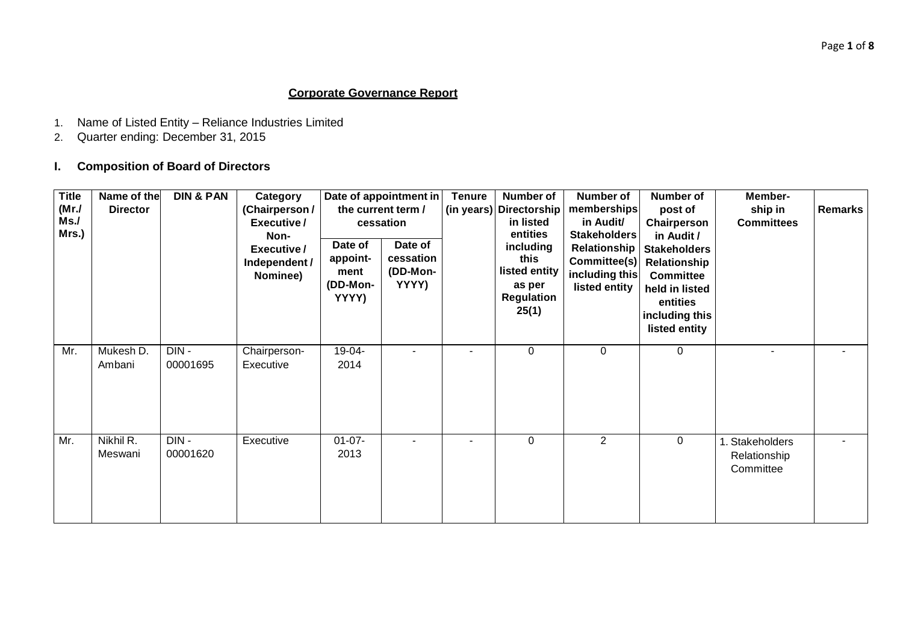# **Corporate Governance Report**

- 1. Name of Listed Entity Reliance Industries Limited
- 2. Quarter ending: December 31, 2015

# **I. Composition of Board of Directors**

| <b>Title</b><br>(Mr./<br>Ms.<br>Mrs.) | Name of the<br><b>Director</b> | <b>DIN &amp; PAN</b> | Category<br>(Chairperson /<br>Executive/<br>Non-<br>Executive/<br>Independent /<br>Nominee) | Date of<br>appoint-<br>ment<br>(DD-Mon-<br>YYYY) | Date of appointment in<br>the current term /<br>cessation<br>Date of<br>cessation<br>(DD-Mon-<br>YYYY) | <b>Tenure</b><br>(in years) | <b>Number of</b><br><b>Directorship</b><br>in listed<br>entities<br>including<br>this<br>listed entity<br>as per<br>Regulation<br>25(1) | <b>Number of</b><br>memberships<br>in Audit/<br>Stakeholders<br>Committee(s)<br>including this<br>listed entity | <b>Number of</b><br>post of<br>Chairperson<br>in Audit /<br>Relationship   Stakeholders<br>Relationship<br><b>Committee</b><br>held in listed<br>entities<br>including this<br>listed entity | Member-<br>ship in<br><b>Committees</b>      | <b>Remarks</b> |
|---------------------------------------|--------------------------------|----------------------|---------------------------------------------------------------------------------------------|--------------------------------------------------|--------------------------------------------------------------------------------------------------------|-----------------------------|-----------------------------------------------------------------------------------------------------------------------------------------|-----------------------------------------------------------------------------------------------------------------|----------------------------------------------------------------------------------------------------------------------------------------------------------------------------------------------|----------------------------------------------|----------------|
| Mr.                                   | Mukesh D.<br>Ambani            | DIN-<br>00001695     | Chairperson-<br>Executive                                                                   | 19-04-<br>2014                                   |                                                                                                        |                             | 0                                                                                                                                       | $\mathbf 0$                                                                                                     | 0                                                                                                                                                                                            | ÷.                                           | ٠              |
| Mr.                                   | Nikhil R.<br>Meswani           | DIN-<br>00001620     | Executive                                                                                   | $01 - 07 -$<br>2013                              |                                                                                                        |                             | $\Omega$                                                                                                                                | 2                                                                                                               | 0                                                                                                                                                                                            | 1. Stakeholders<br>Relationship<br>Committee | ۰              |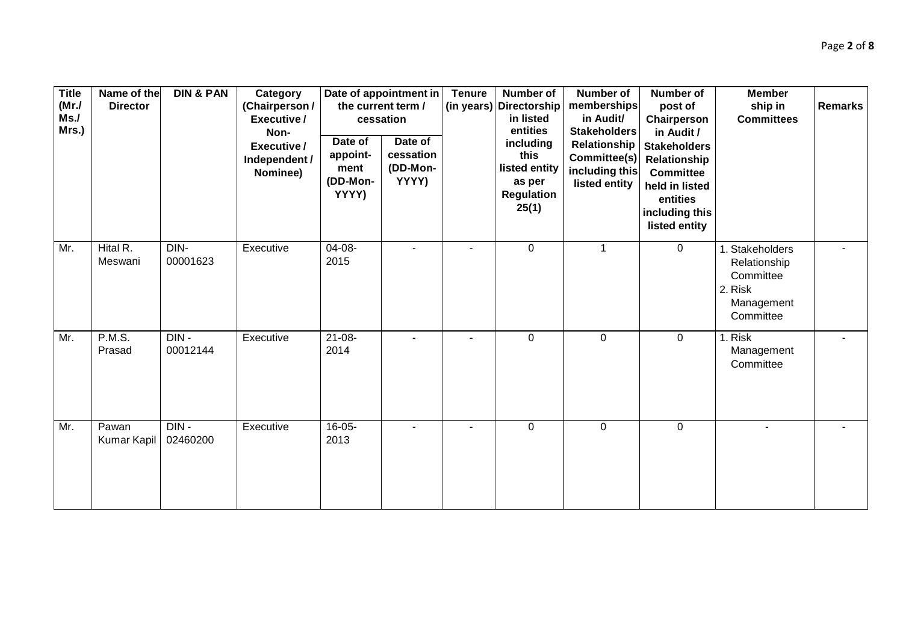| <b>Title</b><br>(MrJ)<br>Ms.<br>Mrs.) | Name of the<br><b>Director</b> | <b>DIN &amp; PAN</b> | Category<br>(Chairperson /<br>Executive/<br>Non-<br>Executive/<br>Independent /<br>Nominee) | Date of<br>appoint-<br>ment<br>(DD-Mon-<br>YYYY) | Date of appointment in<br>the current term /<br>cessation<br>Date of<br>cessation<br>(DD-Mon-<br>YYYY) | <b>Tenure</b> | <b>Number of</b><br>(in years) Directorship<br>in listed<br>entities<br>including<br>this<br>listed entity<br>as per<br>Regulation<br>25(1) | <b>Number of</b><br>memberships<br>in Audit/<br><b>Stakeholders</b><br>Relationship<br>Committee(s)<br>including this<br>listed entity | <b>Number of</b><br>post of<br>Chairperson<br>in Audit /<br>Stakeholders<br>Relationship<br><b>Committee</b><br>held in listed<br>entities<br>including this<br>listed entity | <b>Member</b><br>ship in<br><b>Committees</b>                                      | <b>Remarks</b> |
|---------------------------------------|--------------------------------|----------------------|---------------------------------------------------------------------------------------------|--------------------------------------------------|--------------------------------------------------------------------------------------------------------|---------------|---------------------------------------------------------------------------------------------------------------------------------------------|----------------------------------------------------------------------------------------------------------------------------------------|-------------------------------------------------------------------------------------------------------------------------------------------------------------------------------|------------------------------------------------------------------------------------|----------------|
| Mr.                                   | Hital R.<br>Meswani            | DIN-<br>00001623     | Executive                                                                                   | $04 - 08 -$<br>2015                              |                                                                                                        |               | $\mathbf{0}$                                                                                                                                | $\mathbf{1}$                                                                                                                           | $\mathbf 0$                                                                                                                                                                   | 1. Stakeholders<br>Relationship<br>Committee<br>2. Risk<br>Management<br>Committee |                |
| Mr.                                   | <b>P.M.S.</b><br>Prasad        | $DIN -$<br>00012144  | Executive                                                                                   | $21 - 08 -$<br>2014                              |                                                                                                        |               | $\overline{0}$                                                                                                                              | $\mathbf 0$                                                                                                                            | $\mathbf 0$                                                                                                                                                                   | 1. Risk<br>Management<br>Committee                                                 |                |
| Mr.                                   | Pawan<br>Kumar Kapil           | $DIN -$<br>02460200  | Executive                                                                                   | $16 - 05 -$<br>2013                              |                                                                                                        |               | $\overline{0}$                                                                                                                              | $\mathbf 0$                                                                                                                            | $\mathbf 0$                                                                                                                                                                   |                                                                                    |                |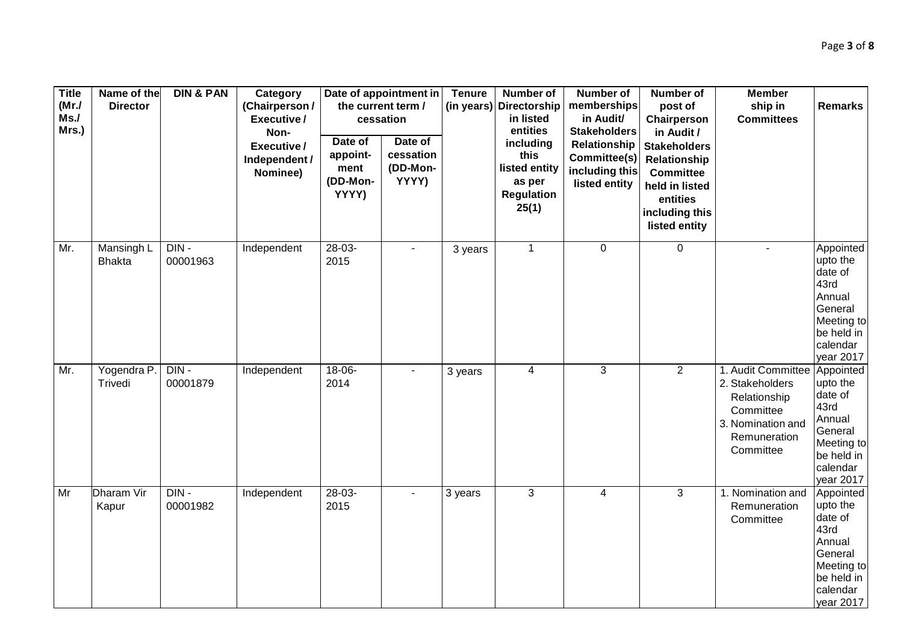| <b>Title</b><br>(MrJ)<br>Ms.<br>Mrs.) | Name of the<br><b>Director</b>     | <b>DIN &amp; PAN</b> | Category<br>(Chairperson /<br>Executive/<br>Non-<br>Executive/<br>Independent /<br>Nominee) | Date of<br>appoint-<br>ment<br>(DD-Mon-<br>YYYY) | Date of appointment in<br>the current term /<br>cessation<br>Date of<br>cessation<br>(DD-Mon-<br>YYYY) | <b>Tenure</b> | <b>Number of</b><br>(in years) Directorship<br>in listed<br>entities<br>including<br>this<br>listed entity<br>as per<br><b>Regulation</b><br>25(1) | <b>Number of</b><br>memberships<br>in Audit/<br><b>Stakeholders</b><br>Relationship<br>Committee(s)<br>including this<br>listed entity | <b>Number of</b><br>post of<br>Chairperson<br>in Audit /<br><b>Stakeholders</b><br>Relationship<br><b>Committee</b><br>held in listed<br>entities<br>including this<br>listed entity | <b>Member</b><br>ship in<br><b>Committees</b>                                                                        | <b>Remarks</b>                                                                                                     |
|---------------------------------------|------------------------------------|----------------------|---------------------------------------------------------------------------------------------|--------------------------------------------------|--------------------------------------------------------------------------------------------------------|---------------|----------------------------------------------------------------------------------------------------------------------------------------------------|----------------------------------------------------------------------------------------------------------------------------------------|--------------------------------------------------------------------------------------------------------------------------------------------------------------------------------------|----------------------------------------------------------------------------------------------------------------------|--------------------------------------------------------------------------------------------------------------------|
| Mr.                                   | <b>Mansingh L</b><br><b>Bhakta</b> | $DIN -$<br>00001963  | Independent                                                                                 | $28-03-$<br>2015                                 |                                                                                                        | 3 years       | $\mathbf{1}$                                                                                                                                       | $\mathbf 0$                                                                                                                            | $\mathbf 0$                                                                                                                                                                          | $\sim$                                                                                                               | Appointed<br>upto the<br>date of<br>43rd<br>Annual<br>General<br>Meeting to<br>be held in<br>calendar<br>year 2017 |
| Mr.                                   | Yogendra P.<br>Trivedi             | $DIN -$<br>00001879  | Independent                                                                                 | $18-06-$<br>2014                                 |                                                                                                        | 3 years       | $\overline{4}$                                                                                                                                     | $\overline{3}$                                                                                                                         | $\overline{2}$                                                                                                                                                                       | 1. Audit Committee<br>2. Stakeholders<br>Relationship<br>Committee<br>3. Nomination and<br>Remuneration<br>Committee | Appointed<br>upto the<br>date of<br>43rd<br>Annual<br>General<br>Meeting to<br>be held in<br>calendar<br>year 2017 |
| Mr                                    | <b>Dharam Vir</b><br>Kapur         | $DIN -$<br>00001982  | Independent                                                                                 | $28-03-$<br>2015                                 |                                                                                                        | 3 years       | 3                                                                                                                                                  | $\overline{4}$                                                                                                                         | 3                                                                                                                                                                                    | 1. Nomination and<br>Remuneration<br>Committee                                                                       | Appointed<br>upto the<br>date of<br>43rd<br>Annual<br>General<br>Meeting to<br>be held in<br>calendar<br>year 2017 |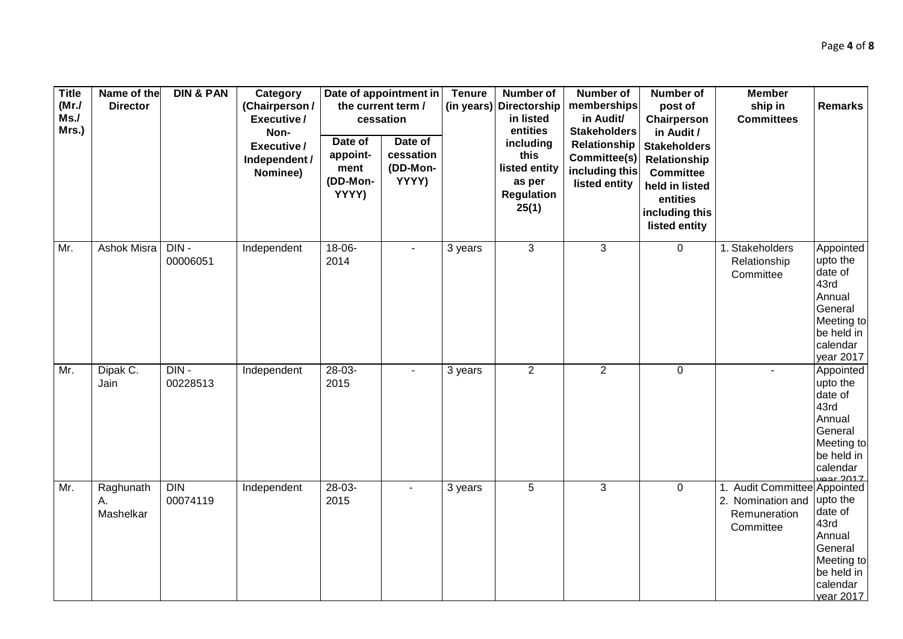| <b>Title</b><br>(MrJ)<br>Ms.<br>Mrs.) | Name of the<br><b>Director</b> | <b>DIN &amp; PAN</b> | Category<br>(Chairperson /<br>Executive/<br>Non-<br>Executive/<br>Independent /<br>Nominee) | Date of<br>appoint-<br>ment<br>(DD-Mon-<br>YYYY) | Date of appointment in<br>the current term /<br>cessation<br>Date of<br>cessation<br>(DD-Mon-<br>YYYY) | <b>Tenure</b><br>(in years) | <b>Number of</b><br>Directorship<br>in listed<br>entities<br>including<br>this<br>listed entity<br>as per<br><b>Regulation</b><br>25(1) | <b>Number of</b><br>memberships<br>in Audit/<br><b>Stakeholders</b><br>Relationship<br>Committee(s)<br>including this<br>listed entity | <b>Number of</b><br>post of<br>Chairperson<br>in Audit /<br><b>Stakeholders</b><br>Relationship<br><b>Committee</b><br>held in listed<br>entities<br>including this<br>listed entity | <b>Member</b><br>ship in<br><b>Committees</b>                                  | <b>Remarks</b>                                                                                                     |
|---------------------------------------|--------------------------------|----------------------|---------------------------------------------------------------------------------------------|--------------------------------------------------|--------------------------------------------------------------------------------------------------------|-----------------------------|-----------------------------------------------------------------------------------------------------------------------------------------|----------------------------------------------------------------------------------------------------------------------------------------|--------------------------------------------------------------------------------------------------------------------------------------------------------------------------------------|--------------------------------------------------------------------------------|--------------------------------------------------------------------------------------------------------------------|
| Mr.                                   | Ashok Misra                    | $DIN -$<br>00006051  | Independent                                                                                 | $18-06-$<br>2014                                 |                                                                                                        | 3 years                     | $\overline{3}$                                                                                                                          | $\mathbf{3}$                                                                                                                           | $\mathbf 0$                                                                                                                                                                          | 1. Stakeholders<br>Relationship<br>Committee                                   | Appointed<br>upto the<br>date of<br>43rd<br>Annual<br>General<br>Meeting to<br>be held in<br>calendar<br>year 2017 |
| Mr.                                   | Dipak C.<br>Jain               | $DIN -$<br>00228513  | Independent                                                                                 | $28-03-$<br>2015                                 |                                                                                                        | 3 years                     | $\overline{2}$                                                                                                                          | $\overline{2}$                                                                                                                         | $\pmb{0}$                                                                                                                                                                            |                                                                                | Appointed<br>upto the<br>date of<br>43rd<br>Annual<br>General<br>Meeting to<br>be held in<br>calendar<br>veer 2017 |
| Mr.                                   | Raghunath<br>Α.<br>Mashelkar   | DIN<br>00074119      | Independent                                                                                 | $28-03-$<br>2015                                 |                                                                                                        | 3 years                     | $\overline{5}$                                                                                                                          | 3                                                                                                                                      | $\mathbf 0$                                                                                                                                                                          | 1. Audit Committee Appointed<br>2. Nomination and<br>Remuneration<br>Committee | upto the<br>date of<br>43rd<br>Annual<br>General<br>Meeting to<br>be held in<br>calendar<br>vear 2017              |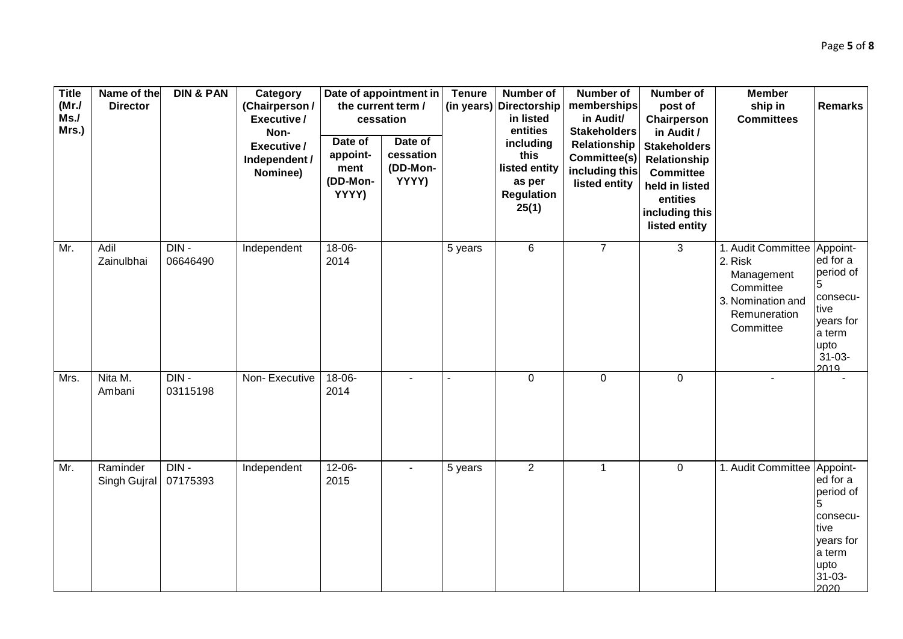| <b>Title</b><br>(MrJ)<br>Ms.<br>Mrs.) | Name of the<br><b>Director</b> | <b>DIN &amp; PAN</b> | Category<br>(Chairperson/<br>Executive/<br>Non-<br>Executive/<br>Independent /<br>Nominee) | Date of<br>appoint-<br>ment<br>(DD-Mon-<br>YYYY) | Date of appointment in<br>the current term /<br>cessation<br>Date of<br>cessation<br>(DD-Mon-<br>YYYY) | <b>Tenure</b> | <b>Number of</b><br>(in years) Directorship<br>in listed<br>entities<br>including<br>this<br>listed entity<br>as per<br><b>Regulation</b><br>25(1) | <b>Number of</b><br>memberships<br>in Audit/<br><b>Stakeholders</b><br>Relationship<br>Committee(s)<br>including this<br>listed entity | <b>Number of</b><br>post of<br>Chairperson<br>in Audit /<br><b>Stakeholders</b><br>Relationship<br><b>Committee</b><br>held in listed<br>entities<br>including this<br>listed entity | <b>Member</b><br>ship in<br><b>Committees</b>                                                              | <b>Remarks</b>                                                                                              |
|---------------------------------------|--------------------------------|----------------------|--------------------------------------------------------------------------------------------|--------------------------------------------------|--------------------------------------------------------------------------------------------------------|---------------|----------------------------------------------------------------------------------------------------------------------------------------------------|----------------------------------------------------------------------------------------------------------------------------------------|--------------------------------------------------------------------------------------------------------------------------------------------------------------------------------------|------------------------------------------------------------------------------------------------------------|-------------------------------------------------------------------------------------------------------------|
| Mr.                                   | Adil<br>Zainulbhai             | DIN-<br>06646490     | Independent                                                                                | $18 - 06 -$<br>2014                              |                                                                                                        | 5 years       | 6                                                                                                                                                  | $\overline{7}$                                                                                                                         | $\mathbf{3}$                                                                                                                                                                         | 1. Audit Committee<br>2. Risk<br>Management<br>Committee<br>3. Nomination and<br>Remuneration<br>Committee | Appoint-<br>ed for a<br>period of<br>consecu-<br>tive<br>years for<br>a term<br>upto<br>$31 - 03 -$<br>2019 |
| Mrs.                                  | Nita M.<br>Ambani              | $DIN -$<br>03115198  | Non-Executive                                                                              | $18-06-$<br>2014                                 |                                                                                                        |               | $\mathbf 0$                                                                                                                                        | $\pmb{0}$                                                                                                                              | $\mathbf 0$                                                                                                                                                                          | $\blacksquare$                                                                                             |                                                                                                             |
| Mr.                                   | Raminder<br>Singh Gujral       | $DIN -$<br>07175393  | Independent                                                                                | $12 - 06 -$<br>2015                              |                                                                                                        | 5 years       | $\overline{2}$                                                                                                                                     | $\mathbf{1}$                                                                                                                           | $\mathbf 0$                                                                                                                                                                          | 1. Audit Committee                                                                                         | Appoint-<br>ed for a<br>period of<br>consecu-<br>tive<br>years for<br>a term<br>upto<br>31-03-<br>2020      |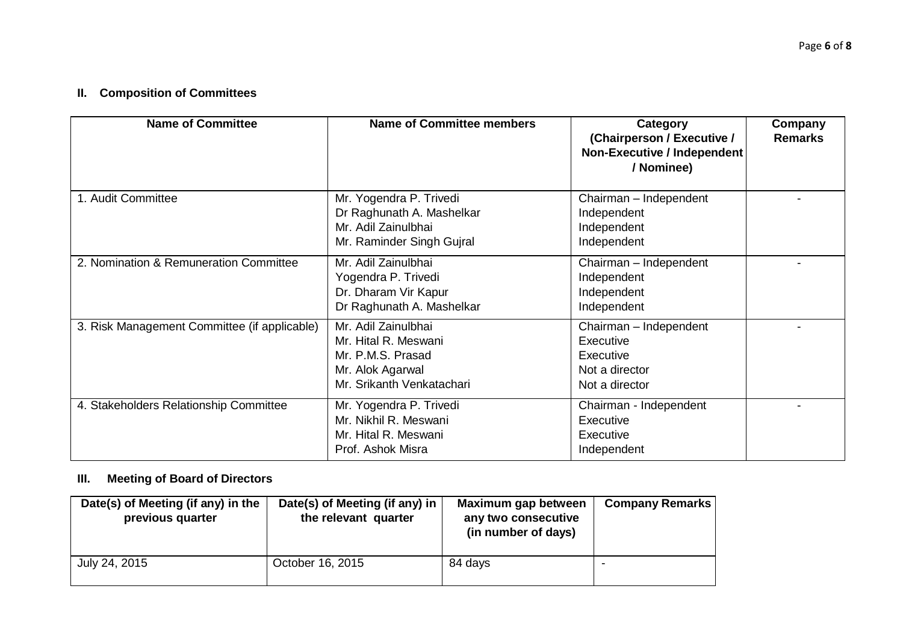# **II. Composition of Committees**

| <b>Name of Committee</b>                     | <b>Name of Committee members</b>                                                                                  | Category<br>(Chairperson / Executive /<br>Non-Executive / Independent<br>/ Nominee)  | Company<br><b>Remarks</b> |
|----------------------------------------------|-------------------------------------------------------------------------------------------------------------------|--------------------------------------------------------------------------------------|---------------------------|
| 1. Audit Committee                           | Mr. Yogendra P. Trivedi<br>Dr Raghunath A. Mashelkar<br>Mr. Adil Zainulbhai<br>Mr. Raminder Singh Gujral          | Chairman - Independent<br>Independent<br>Independent<br>Independent                  |                           |
| 2. Nomination & Remuneration Committee       | Mr. Adil Zainulbhai<br>Yogendra P. Trivedi<br>Dr. Dharam Vir Kapur<br>Dr Raghunath A. Mashelkar                   | Chairman - Independent<br>Independent<br>Independent<br>Independent                  |                           |
| 3. Risk Management Committee (if applicable) | Mr. Adil Zainulbhai<br>Mr. Hital R. Meswani<br>Mr. P.M.S. Prasad<br>Mr. Alok Agarwal<br>Mr. Srikanth Venkatachari | Chairman - Independent<br>Executive<br>Executive<br>Not a director<br>Not a director |                           |
| 4. Stakeholders Relationship Committee       | Mr. Yogendra P. Trivedi<br>Mr. Nikhil R. Meswani<br>Mr. Hital R. Meswani<br>Prof. Ashok Misra                     | Chairman - Independent<br>Executive<br>Executive<br>Independent                      |                           |

#### **III. Meeting of Board of Directors**

| Date(s) of Meeting (if any) in the<br>previous quarter | Date(s) of Meeting (if any) in<br>the relevant quarter | Maximum gap between<br>any two consecutive<br>(in number of days) | <b>Company Remarks</b> |
|--------------------------------------------------------|--------------------------------------------------------|-------------------------------------------------------------------|------------------------|
| July 24, 2015                                          | October 16, 2015                                       | 84 days                                                           | -                      |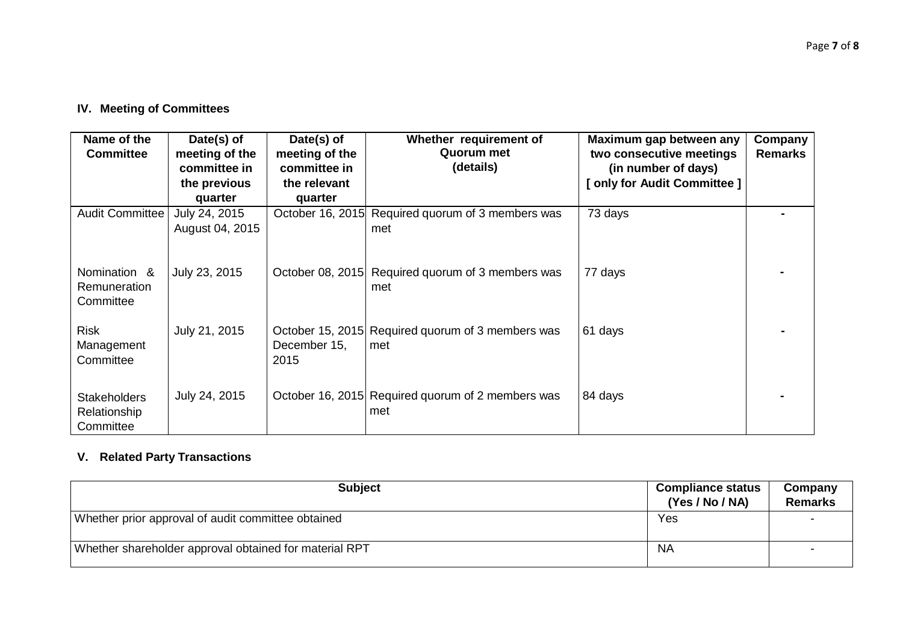# **IV. Meeting of Committees**

| Name of the<br><b>Committee</b>                  | Date(s) of<br>meeting of the<br>committee in<br>the previous<br>quarter | Date(s) of<br>meeting of the<br>committee in<br>the relevant<br>quarter | Whether requirement of<br>Quorum met<br>(details)        | Maximum gap between any<br>two consecutive meetings<br>(in number of days)<br>[ only for Audit Committee ] | Company<br><b>Remarks</b> |
|--------------------------------------------------|-------------------------------------------------------------------------|-------------------------------------------------------------------------|----------------------------------------------------------|------------------------------------------------------------------------------------------------------------|---------------------------|
| Audit Committee                                  | July 24, 2015<br>August 04, 2015                                        |                                                                         | October 16, 2015 Required quorum of 3 members was<br>met | 73 days                                                                                                    |                           |
| Nomination &<br>Remuneration<br>Committee        | July 23, 2015                                                           |                                                                         | October 08, 2015 Required quorum of 3 members was<br>met | 77 days                                                                                                    |                           |
| <b>Risk</b><br>Management<br>Committee           | July 21, 2015                                                           | December 15,<br>2015                                                    | October 15, 2015 Required quorum of 3 members was<br>met | 61 days                                                                                                    |                           |
| <b>Stakeholders</b><br>Relationship<br>Committee | July 24, 2015                                                           |                                                                         | October 16, 2015 Required quorum of 2 members was<br>met | 84 days                                                                                                    |                           |

# **V. Related Party Transactions**

| <b>Subject</b>                                         | <b>Compliance status</b><br>(Yes / No / NA) | Company<br><b>Remarks</b> |
|--------------------------------------------------------|---------------------------------------------|---------------------------|
| Whether prior approval of audit committee obtained     | Yes                                         |                           |
| Whether shareholder approval obtained for material RPT | -NA                                         |                           |